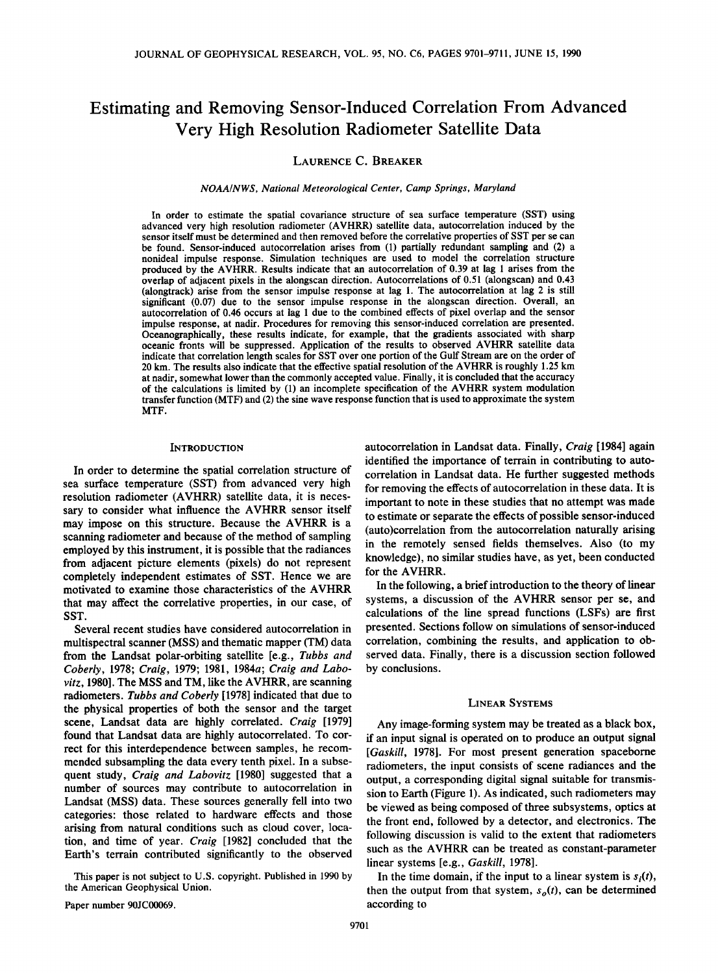# **Estimating and Removing Sensor-Induced Correlation From Advanced Very High Resolution Radiometer Satellite Data**

# **LAURENCE C. BREAKER**

**NOAA/NWS, National Meteorological Center, Camp Springs, Maryland** 

**In order to estimate the spatial covariance structure of sea surface temperature (SST) using advanced very high resolution radiometer (AVHRR) satellite data, autocorrelation induced by the sensor itself must be determined and then removed before the correlative properties of SST per se can be found. Sensor-induced autocorrelation arises from (1) partially redundant sampling and (2) a nonideal impulse response. Simulation techniques are used to model the correlation structure produced by the AVHRR. Results indicate that an autocorrelation of 0.39 at lag 1 arises from the overlap of adjacent pixels in the alongscan direction. Autocorrelations of 0.51 (alongscan) and 0.43 (alongtrack) arise from the sensor impulse response at lag 1. The autocorrelation at lag 2 is still significant (0.07) due to the sensor impulse response in the alongscan direction. Overall, an autocorrelation of 0.46 occurs at lag 1 due to the combined effects of pixel overlap and the sensor impulse response, at nadir. Procedures for removing this sensor-induced correlation are presented. Oceanographically, these results indicate, for example, that the gradients associated with sharp oceanic fronts will be suppressed. Application of the results to observed AVHRR satellite data indicate that correlation length scales for SST over one portion of the Gulf Stream are on the order of 20 km. The results also indicate that the effective spatial resolution of the AVHRR is roughly 1.25 km at nadir, somewhat lower than the commonly accepted value. Finally, it is concluded that the accuracy of the calculations is limited by (1) an incomplete specification of the AVHRR system modulation transfer function (MTF) and (2) the sine wave response function that is used to approximate the system MTF.** 

## **INTRODUCTION**

**In order to determine the spatial correlation structure of sea surface temperature (SST) from advanced very high resolution radiometer (AVHRR) satellite data, it is necessary to consider what influence the AVHRR sensor itself may impose on this structure. Because the AVHRR is a scanning radiometer and because of the method of sampling employed by this instrument, it is possible that the radiances from adjacent picture elements (pixels) do not represent completely independent estimates of SST. Hence we are motivated to examine those characteristics of the AVHRR that may affect the correlative properties, in our case, of SST.** 

**Several recent studies have considered autocorrelation in multispectral scanner (MSS) and thematic mapper (TM) data from the Landsat polar-orbiting satellite [e.g., Tubbs and Coberly, 1978; Craig, 1979; 1981, 1984a; Craig and Labovitz, 1980]. The MSS and TM, like the AVHRR, are scanning radiometers. Tubbs and Coberly [1978] indicated that due to the physical properties of both the sensor and the target scene, Landsat data are highly correlated. Craig [1979] found that Landsat data are highly autocorrelated. To correct for this interdependence between samples, he recommended subsampling the data every tenth pixel. In a subsequent study, Craig and Labovitz [1980] suggested that a number of sources may contribute to autocorrelation in Landsat (MSS) data. These sources generally fell into two categories: those related to hardware effects and those arising from natural conditions such as cloud cover, location, and time of year. Craig [1982] concluded that the Earth's terrain contributed significantly to the observed** 

**This paper is not subject to U.S. copyright. Published in 1990 by the American Geophysical Union.** 

**Paper number 90JC00069.** 

**autocorrelation in Landsat data. Finally, Craig [1984] again identified the importance of terrain in contributing to autocorrelation in Landsat data. He further suggested methods for removing the effects of autocorrelation in these data. It is important to note in these studies that no attempt was made to estimate or separate the effects of possible sensor-induced (auto)correlation from the autocorrelation naturally arising in the remotely sensed fields themselves. Also (to my knowledge), no similar studies have, as yet, been conducted for the AVHRR.** 

**In the following, a brief introduction to the theory of linear systems, a discussion of the AVHRR sensor per se, and calculations of the line spread functions (LSFs) are first presented. Sections follow on simulations of sensor-induced correlation, combining the results, and application to observed data. Finally, there is a discussion section followed by conclusions.** 

#### **LINEAR SYSTEMS**

**Any image-forming system may be treated as a black box, if an input signal is operated on to produce an output signal [Gaskill, 1978]. For most present generation spaceborne radiometers, the input consists of scene radiances and the output, a corresponding digital signal suitable for transmission to Earth (Figure 1). As indicated, such radiometers may be viewed as being composed of three subsystems, optics at the front end, followed by a detector, and electronics. The following discussion is valid to the extent that radiometers such as the AVHRR can be treated as constant-parameter linear systems [e.g., Gaskill, 1978].** 

In the time domain, if the input to a linear system is  $s_i(t)$ , then the output from that system,  $s<sub>o</sub>(t)$ , can be determined **according to**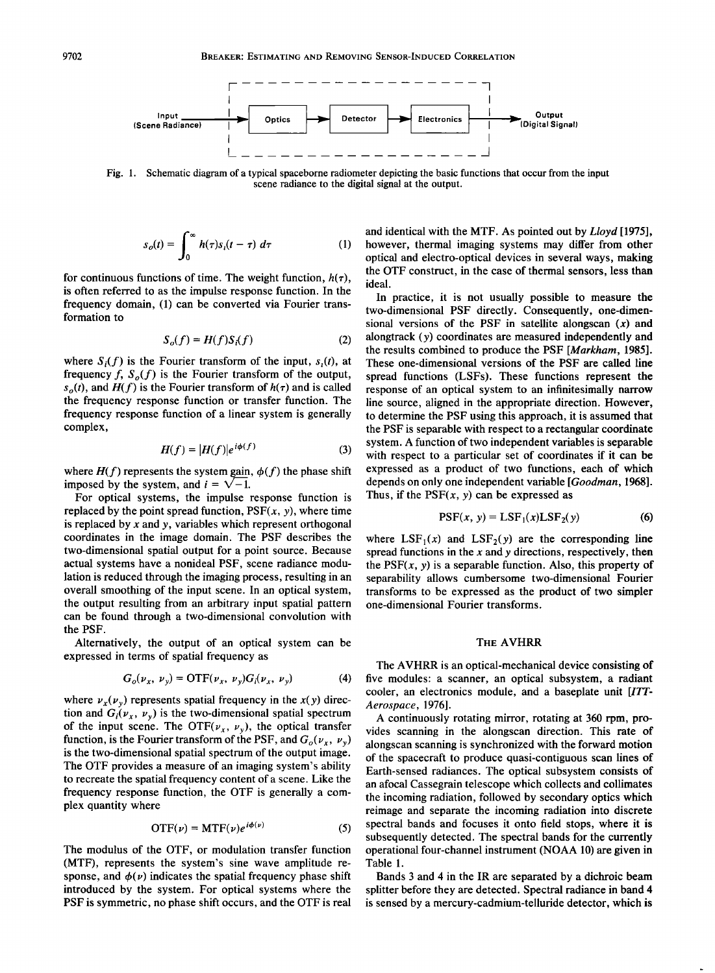

**Fig. 1. Schematic diagram of a typical spaceborne radiometer depicting the basic functions that occur from the input scene radiance to the digital signal at the output.** 

$$
s_o(t) = \int_0^\infty h(\tau) s_i(t-\tau) \ d\tau \tag{1}
$$

for continuous functions of time. The weight function,  $h(\tau)$ , **is often referred to as the impulse response function. In the frequency domain, (1) can be converted via Fourier transformation to** 

$$
S_o(f) = H(f)S_i(f) \tag{2}
$$

where  $S_i(f)$  is the Fourier transform of the input,  $s_i(t)$ , at frequency  $f$ ,  $S_o(f)$  is the Fourier transform of the output,  $s<sub>o</sub>(t)$ , and  $H(f)$  is the Fourier transform of  $h(\tau)$  and is called **the frequency response function or transfer function. The frequency response function of a linear system is generally complex,** 

$$
H(f) = |H(f)|e^{i\phi(f)}
$$
 (3)

where  $H(f)$  represents the system gain,  $\phi(f)$  the phase shift **imposed by the system, and**  $i = \sqrt{-1}$ **.** 

**For optical systems, the impulse response function is**  replaced by the point spread function,  $PSF(x, y)$ , where time **is replaced by x and y, variables which represent orthogonal coordinates in the image domain. The PSF describes the two-dimensional spatial output for a point source. Because actual systems have a nonideal PSF, scene radiance modulation is reduced through the imaging process, resulting in an overall smoothing of the input scene. In an optical system, the output resulting from an arbitrary input spatial pattern can be found through a two-dimensional convolution with the PSF.** 

**Alternatively, the output of an optical system can be expressed in terms of spatial frequency as** 

$$
G_o(\nu_x, \nu_y) = \text{OTF}(\nu_x, \nu_y) G_i(\nu_x, \nu_y) \tag{4}
$$

where  $v_x(v_y)$  represents spatial frequency in the  $x(y)$  direction and  $G_i(\nu_x, \nu_y)$  is the two-dimensional spatial spectrum of the input scene. The OTF( $\nu_x$ ,  $\nu_y$ ), the optical transfer function, is the Fourier transform of the PSF, and  $G_o(\nu_x, \nu_y)$ **is the two-dimensional spatial spectrum of the output image. The OTF provides a measure of an imaging system's ability to recreate the spatial frequency content of a scene. Like the frequency response function, the OTF is generally a complex quantity where** 

$$
OTF(\nu) = MTF(\nu)e^{i\phi(\nu)}
$$
 (5)

**The modulus of the OTF, or modulation transfer function (MTF), represents the system's sine wave amplitude re**sponse, and  $\phi(\nu)$  indicates the spatial frequency phase shift **introduced by the system. For optical systems where the PSF is symmetric, no phase shift occurs, and the OTF is real**  **and identical with the MTF. As pointed out by Lloyd [1975], however, thermal imaging systems may differ from other optical and electro-optical devices in several ways, making the OTF construct, in the case of thermal sensors, less than ideal.** 

**In practice, it is not usually possible to measure the two-dimensional PSF directly. Consequently, one-dimensional versions of the PSF in satellite alongscan (x) and alongtrack (y) coordinates are measured independently and the results combined to produce the PSF [Markham, 1985]. These one-dimensional versions of the PSF are called line spread functions (LSFs). These functions represent the response of an optical system to an infinitesimally narrow line source, aligned in the appropriate direction. However, to determine the PSF using this approach, it is assumed that the PSF is separable with respect to a rectangular coordinate system. A function of two independent variables is separable with respect to a particular set of coordinates if it can be expressed as a product of two functions, each of which depends on only one independent variable [Goodman, 1968].**  Thus, if the  $PSF(x, y)$  can be expressed as

$$
PSF(x, y) = LSF1(x) LSF2(y)
$$
 (6)

where  $LSF_1(x)$  and  $LSF_2(y)$  are the corresponding line **spread functions in the x and y directions, respectively, then**  the  $PSF(x, y)$  is a separable function. Also, this property of **separability allows cumbersome two-dimensional Fourier transforms to be expressed as the product of two simpler one-dimensional Fourier transforms.** 

# **THE AVHRR**

**The AVHRR is an optical-mechanical device consisting of five modules: a scanner, an optical subsystem, a radiant cooler, an electronics module, and a baseplate unit [ITT-Aerospace, 1976].** 

**A continuously rotating mirror, rotating at 360 rpm, provides scanning in the alongscan direction. This rate of alongscan scanning is synchronized with the forward motion of the spacecraft to produce quasi-contiguous scan lines of Earth-sensed radiances. The optical subsystem consists of an afocal Cassegrain telescope which collects and collimates the incoming radiation, followed by secondary optics which reimage and separate the incoming radiation into discrete spectral bands and focuses it onto field stops, where it is subsequently detected. The spectral bands for the currently operational four-channel instrument (NOAA 10) are given in Table 1.** 

**Bands 3 and 4 in the IR are separated by a dichroic beam splitter before they are detected. Spectral radiance in band 4 is sensed by a mercury-cadmium-telluride detector, which is**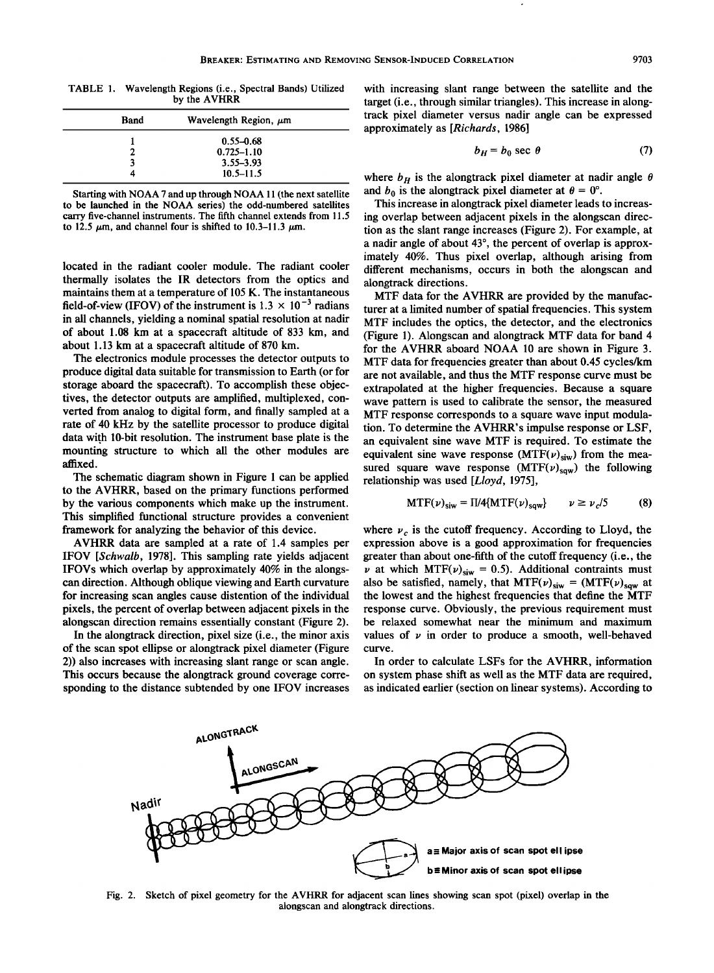**TABLE 1. Wavelength Regions (i.e., Spectral Bands) Utilized by the AVHRR** 

| Band |   | Wavelength Region, $\mu$ m |  |
|------|---|----------------------------|--|
|      |   | $0.55 - 0.68$              |  |
|      | ຳ | $0.725 - 1.10$             |  |
|      | 3 | 3.55-3.93                  |  |
|      |   | $10.5 - 11.5$              |  |

**Starting with NOAA 7 and up through NOAA 11 (the next satellite to be launched in the NOAA series) the odd-numbered satellites carry five-channel instruments. The fifth channel extends from 11.5**  to 12.5  $\mu$ m, and channel four is shifted to 10.3-11.3  $\mu$ m.

**located in the radiant cooler module. The radiant cooler thermally isolates the IR detectors from the optics and maintains them at a temperature of 105 K. The instantaneous**  field-of-view (IFOV) of the instrument is  $1.3 \times 10^{-3}$  radians **in all channels, yielding a nominal spatial resolution at nadir of about 1.08 km at a spacecraft altitude of 833 km, and**  about 1.13 km at a spacecraft altitude of 870 km.

**The electronics module processes the detector outputs to produce digital data suitable for transmission to Earth (or for storage aboard the spacecraft). To accomplish these objectives, the detector outputs are amplified, multiplexed, converted from analog to digital form, and finally sampled at a rate of 40 kHz by the satellite processor to produce digital**  data with 10-bit resolution. The instrument base plate is the **mounting structure to which all the other modules are affixed.** 

**The schematic diagram shown in Figure 1 can be applied to the AVHRR, based on the primary functions performed by the various components which make up the instrument. This simplified functional structure provides a convenient framework for analyzing the behavior of this device.** 

**AVHRR data are sampled at a rate of 1.4 samples per IFOV [\$chwalb, 1978]. This sampling rate yields adjacent IFOVs which overlap by approximately 40% in the alongscan direction. Although oblique viewing and Earth curvature for increasing scan angles cause distention of the individual pixels, the percent of overlap between adjacent pixels in the alongscan direction remains essentially constant (Figure 2).** 

**In the alongtrack direction, pixel size (i.e., the minor axis of the scan spot ellipse or alongtrack pixel diameter (Figure 2)) also increases with increasing slant range or scan angle. This occurs because the alongtrack ground coverage corresponding to the distance subtended by one IFOV increases**  **with increasing slant range between the satellite and the target (i.e., through similar triangles). This increase in alongtrack pixel diameter versus nadir angle can be expressed approximately as [Richards, 1986]** 

$$
b_H = b_0 \sec \theta \tag{7}
$$

where  $b_H$  is the alongtrack pixel diameter at nadir angle  $\theta$ and  $b_0$  is the alongtrack pixel diameter at  $\theta = 0^\circ$ .

**This increase in alongtrack pixel diameter leads to increasing overlap between adjacent pixels in the alongscan direction as the slant range increases (Figure 2). For example, at**  a nadir angle of about 43<sup>°</sup>, the percent of overlap is approx**imately 40%. Thus pixel overlap, although arising from different mechanisms, occurs in both the alongscan and alongtrack directions.** 

**MTF data for the AVHRR are provided by the manufacturer at a limited number of spatial frequencies. This system MTF includes the optics, the detector, and the electronics (Figure 1). Alongscan and alongtrack MTF data for band 4 for the AVHRR aboard NOAA 10 are shown in Figure 3. MTF data for frequencies greater than about 0.45 cycles/km are not available, and thus the MTF response curve must be extrapolated at the higher frequencies. Because a square wave pattern is used to calibrate the sensor, the measured MTF response corresponds to a square wave input modulation. To determine the AVHRR's impulse response or LSF, an equivalent sine wave MTF is required. To estimate the**  equivalent sine wave response  $(MTF(v)_{siw})$  from the measured square wave response  $(MTF(\nu)_{\text{saw}})$  the following **relationship was used [Lloyd, 1975],** 

$$
MTF(\nu)_{\text{siw}} = \Pi/4\{MTF(\nu)_{\text{sqw}}\} \qquad \nu \ge \nu_c/5 \tag{8}
$$

where  $v_c$  is the cutoff frequency. According to Lloyd, the **expression above is a good approximation for frequencies greater than about one-fifth of the cutoff frequency (i.e., the**   $\nu$  at which MTF( $\nu$ )<sub>siw</sub> = 0.5). Additional contraints must also be satisfied, namely, that  $MTF(\nu)_{\text{siw}} = (MTF(\nu)_{\text{sgw}}$  at **the lowest and the highest frequencies that define the MTF response curve. Obviously, the previous requirement must be relaxed somewhat near the minimum and maximum**  values of  $\nu$  in order to produce a smooth, well-behaved **curve.** 

**In order to calculate LSFs for the AVHRR, information on system phase shift as well as the MTF data are required, as indicated earlier (section on linear systems). According to** 



**Fig. 2. Sketch of pixel geometry for the AVHRR for adjacent scan lines showing scan spot (pixel) overlap in the alongscan and alongtrack directions.**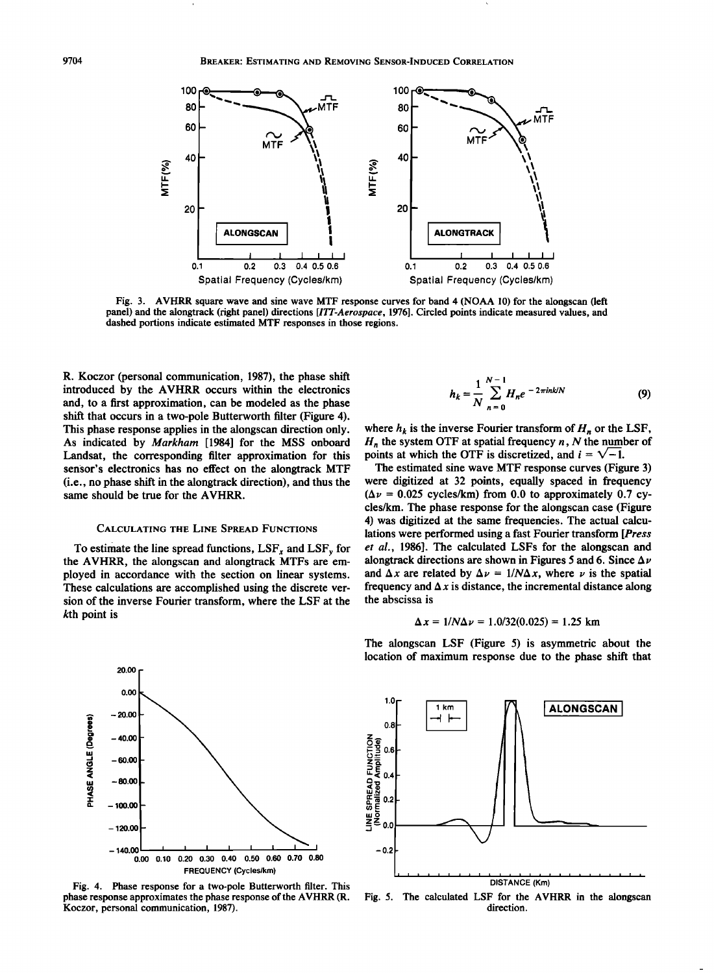

**Fig. 3. AVHRR square wave and sine wave MTF response curves for band 4 (NOAA 10) for the alongscan (left panel) and the alongtrack (right panel) directions [ITT-Aerospace, 1976]. Circled points indicate measured values, and dashed portions indicate estimated MTF responses in those regions.** 

**R. Koczor (personal communication, 1987), the phase shift introduced by the AVHRR occurs within the electronics and, to a first approximation, can be modeled as the phase shift that occurs in a two-pole Butterworth filter (Figure 4). This phase response applies in the alongscan direction only. As indicated by Markham [1984] for the MSS onboard Landsat, the corresponding filter approximation for this sensor's electronics has no effect on the alongtrack MTF (i.e., no phase shift in the alongtrack direction), and thus the same should be true for the AVHRR.** 

#### **CALCULATING THE LINE SPREAD FUNCTIONS**

To estimate the line spread functions, LSF<sub>x</sub> and LSF<sub>y</sub> for **the AVHRR, the alongscan and alongtrack MTFs are employed in accordance with the section on linear systems. These calculations are accomplished using the discrete version of the inverse Fourier transform, where the LSF at the kth point is** 



where  $h_k$  is the inverse Fourier transform of  $H_n$  or the LSF,  $H_n$  the system OTF at spatial frequency  $n$ , N the number of points at which the OTF is discretized, and  $i = \sqrt{-1}$ .

**The estimated sine wave MTF response curves (Figure 3) were digitized at 32 points, equally spaced in frequency**   $(\Delta \nu = 0.025 \text{ cycles/km})$  from 0.0 to approximately 0.7 cy**cles/km. The phase response for the alongscan case (Figure 4) was digitized at the same frequencies. The actual calculations were performed using a fast Fourier transform [Press et al., 1986]. The calculated LSFs for the alongscan and**  alongtrack directions are shown in Figures 5 and 6. Since  $\Delta \nu$ and  $\Delta x$  are related by  $\Delta \nu = 1/N \Delta x$ , where  $\nu$  is the spatial frequency and  $\Delta x$  is distance, the incremental distance along **the abscissa is** 

$$
\Delta x = 1/N\Delta \nu = 1.0/32(0.025) = 1.25
$$
 km



**Fig. 4. Phase response for a two-pole Butterworth filter. This phase response approximates the phase response of the AVHRR (R. Koczor, personal communication, 1987).** 

**The alongscan LSF (Figure 5) is asymmetric about the location of maximum response due to the phase shift that** 



**Fig. 5. The calculated LSF for the AVHRR in the alongscan direction.**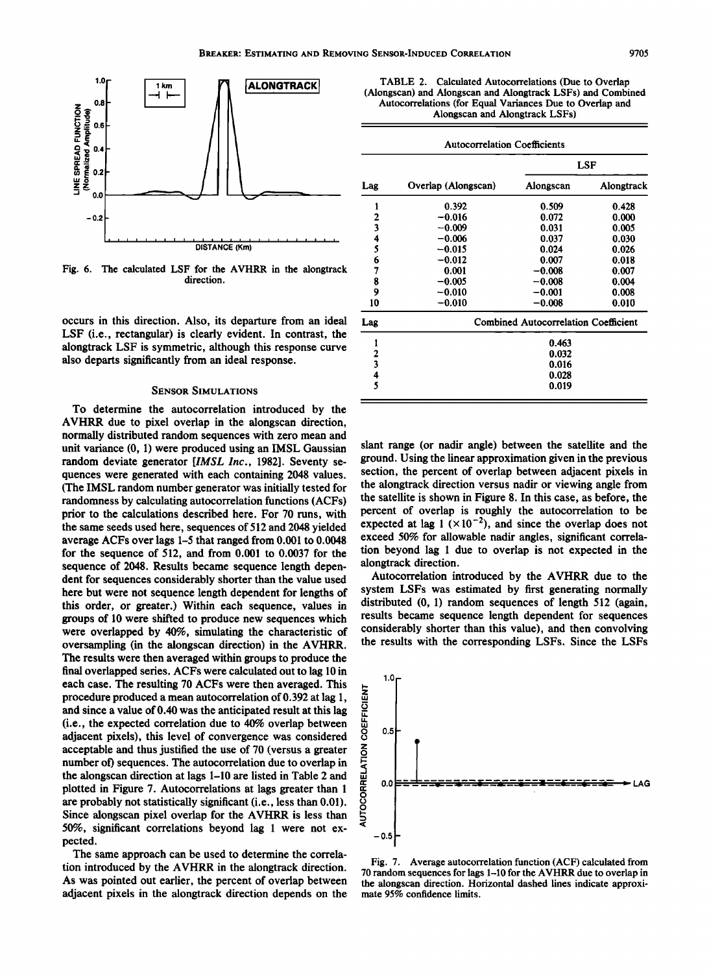

**Fig. 6. The calculated LSF for the AVHRR in the alongtrack direction.** 

**occurs in this direction. Also, its departure from an ideal LSF (i.e., rectangular) is clearly evident. In contrast, the alongtrack LSF is symmetric, although this response curve also departs significantly from an ideal response.** 

# **SENSOR SIMULATIONS**

**To determine the autocorrelation introduced by the AVHRR due to pixel overlap in the alongscan direction, normally distributed random sequences with zero mean and unit variance (0, 1) were produced using an IMSL Gaussian random deviate generator [IMSL Inc., 1982]. Seventy sequences were generated with each containing 2048 values. (The IMSL random number generator was initially tested for randomness by calculating autocorrelation functions (ACFs) prior to the calculations described here. For 70 runs, with the same seeds used here, sequences of 512 and 2048 yielded average ACFs over lags 1-5 that ranged from 0.001 to 0.0048 for the sequence of 512, and from 0.001 to 0.0037 for the sequence of 2048. Results became sequence length dependent for sequences considerably shorter than the value used here but were not sequence length dependent for lengths of this order, or greater.) Within each sequence, values in groups of 10 were shifted to produce new sequences which were overlapped by 40%, simulating the characteristic of oversampling (in the alongscan direction) in the AVHRR. The results were then averaged within groups to produce the final overlapped series. ACFs were calculated out to lag 10 in each case. The resulting 70 ACFs were then averaged. This procedure produced a mean autocorrelation of 0.392 at lag 1, and since a value of 0.40 was the anticipated result at this lag (i.e., the expected correlation due to 40% overlap between adjacent pixels), this level of convergence was considered acceptable and thus justified the use of 70 (versus a greater number of) sequences. The autocorrelation due to overlap in the alongscan direction at lags 1-10 are listed in Table 2 and plotted in Figure 7. Autocorrelations at lags greater than 1 are probably not statistically significant (i.e., less than 0.01). Since alongscan pixel overlap for the AVHRR is less than 50%, significant correlations beyond lag 1 were not expected.** 

**The same approach can be used to determine the correlation introduced by the AVHRR in the alongtrack direction. As was pointed out earlier, the percent of overlap between adjacent pixels in the alongtrack direction depends on the** 

| TABLE 2. Calculated Autocorrelations (Due to Overlap        |  |  |  |  |
|-------------------------------------------------------------|--|--|--|--|
| (Alongscan) and Alongscan and Alongtrack LSFs) and Combined |  |  |  |  |
| Autocorrelations (for Equal Variances Due to Overlap and    |  |  |  |  |
| Alongscan and Alongtrack LSFs)                              |  |  |  |  |
|                                                             |  |  |  |  |

| <b>Autocorrelation Coefficients</b> |                                             |           |            |  |  |  |
|-------------------------------------|---------------------------------------------|-----------|------------|--|--|--|
| Lag                                 |                                             | LSF       |            |  |  |  |
|                                     | Overlap (Alongscan)                         | Alongscan | Alongtrack |  |  |  |
| 1                                   | 0.392                                       | 0.509     | 0.428      |  |  |  |
|                                     | $-0.016$                                    | 0.072     | 0.000      |  |  |  |
| $\frac{2}{3}$                       | $-0.009$                                    | 0.031     | 0.005      |  |  |  |
| 4                                   | $-0.006$                                    | 0.037     | 0.030      |  |  |  |
| 5                                   | $-0.015$                                    | 0.024     | 0.026      |  |  |  |
| 6                                   | $-0.012$                                    | 0.007     | 0.018      |  |  |  |
| 7                                   | 0.001                                       | $-0.008$  | 0.007      |  |  |  |
| 8                                   | $-0.005$                                    | $-0.008$  | 0.004      |  |  |  |
| 9                                   | $-0.010$                                    | $-0.001$  | 0.008      |  |  |  |
| 10                                  | $-0.010$                                    | $-0.008$  | 0.010      |  |  |  |
| Lag                                 | <b>Combined Autocorrelation Coefficient</b> |           |            |  |  |  |
| 1                                   | 0.463                                       |           |            |  |  |  |
|                                     | 0.032                                       |           |            |  |  |  |
| 2<br>3                              | 0.016                                       |           |            |  |  |  |
|                                     | 0.028                                       |           |            |  |  |  |
| $\frac{4}{5}$                       | 0.019                                       |           |            |  |  |  |

**slant range (or nadir angle) between the satellite and the ground. Using the linear approximation given in the previous section, the percent of overlap between adjacent pixels in the alongtrack direction versus nadir or viewing angle from the satellite is shown in Figure 8. In this case, as before, the percent of overlap is roughly the autocorrelation to be**  expected at lag  $1 \times 10^{-2}$ ), and since the overlap does not **exceed 50% for allowable nadir angles, significant correlation beyond lag 1 due to overlap is not expected in the alongtrack direction.** 

**Autocorrelation introduced by the AVHRR due to the system LSFs was estimated by first generating normally distributed (0, 1) random sequences of length 512 (again, results became sequence length dependent for sequences considerably shorter than this value), and then convolving the results with the corresponding LSFs. Since the LSFs** 



**Fig. 7. Average autocorrelation function (ACF) calculated from 70 random sequences for lags 1-10 for the AVHRR due to overlap in the alongscan direction. Horizontal dashed lines indicate approximate 95% confidence limits.**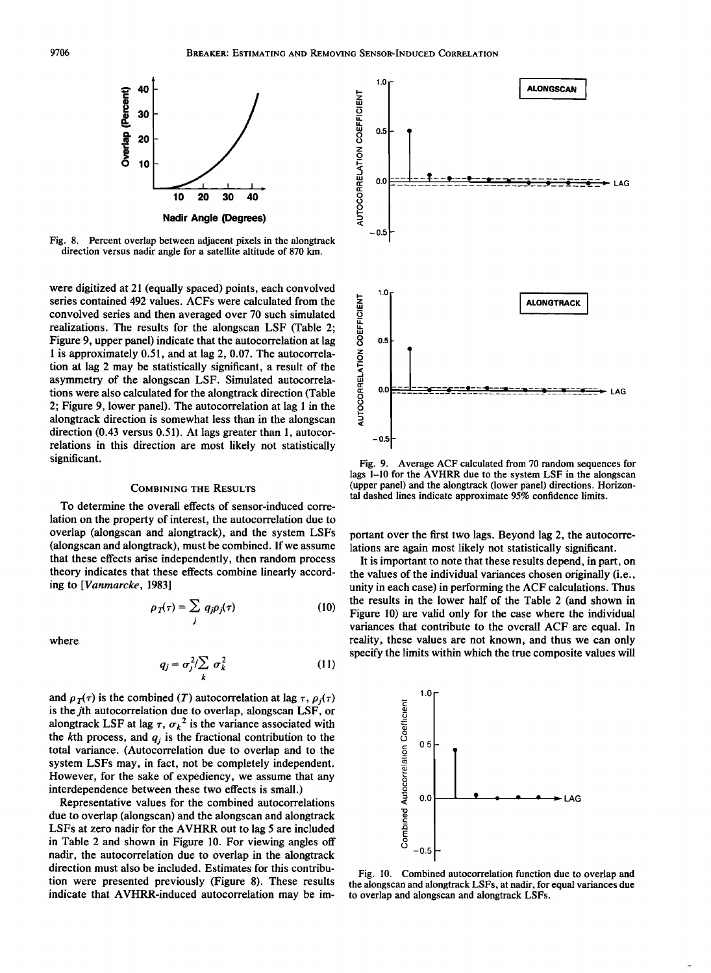

**Fig. 8. Percent overlap between adjacent pixels in the alongtrack direction versus nadir angle for a satellite altitude of 870 km.** 

**were digitized at 21 (equally spaced) points, each convolved series contained 492 values. ACFs were calculated from the convolved series and then averaged over 70 such simulated realizations. The results for the alongscan LSF (Table 2; Figure 9, upper panel) indicate that the autocorrelation at lag 1 is approximately 0.51, and at lag 2, 0.07. The autocorrelation at lag 2 may be statistically significant, a result of the asymmetry of the alongscan LSF. Simulated autocorrelations were also calculated for the alongtrack direction (Table 2; Figure 9, lower panel). The autocorrelation at lag 1 in the alongtrack direction is somewhat less than in the alongscan direction (0.43 versus 0.51). At lags greater than 1, autocorrelations in this direction are most likely not statistically significant.** 

# **COMBINING THE RESULTS**

**To determine the overall effects of sensor-induced correlation on the property of interest, the autocorrelation due to overlap (alongscan and alongtrack), and the system LSFs (alongscan and alongtrack), must be combined. If we assume that these effects arise independently, then random process theory indicates that these effects combine linearly according to [Vanmarcke, 1983]** 

$$
\rho_T(\tau) = \sum_j q_j \rho_j(\tau) \tag{10}
$$

**where** 

$$
q_j = \sigma_j^2 / \sum_k \sigma_k^2 \tag{11}
$$

and  $\rho_T(\tau)$  is the combined (T) autocorrelation at lag  $\tau$ ,  $\rho_i(\tau)$ **is the jth autocorrelation due to overlap, alongscan LSF, or**  alongtrack LSF at lag  $\tau$ ,  $\sigma_k^2$  is the variance associated with the kth process, and  $q_j$  is the fractional contribution to the **total variance. (Autocorrelation due to overlap and to the system LSFs may, in fact, not be completely independent. However, for the sake of expediency, we assume that any interdependence between these two effects is small.)** 

**Representative values for the combined autocorrelations due to overlap (alongscan) and the alongscan and alongtrack LSFs at zero nadir for the AVHRR out to lag 5 are included in Table 2 and shown in Figure 10. For viewing angles off nadir, the autocorrelation due to overlap in the alongtrack direction must also be included. Estimates for this contribution were presented previously (Figure 8). These results indicate that AVHRR-induced autocorrelation may be im-**



**Fig. 9. Average ACF calculated from 70 random sequences for lags 1-10 for the AVHRR due to the system LSF in the alongscan (upper panel) and the alongtrack (lower panel) directions. Horizontal dashed lines indicate approximate 95% confidence limits.** 

**portant over the first two lags. Beyond lag 2, the autocorrelations are again most likely not statistically significant.** 

**It is important to note that these results depend, in part, on the values of the individual variances chosen originally (i.e., unity in each case) in performing the ACF calculations. Thus the results in the lower half of the Table 2 (and shown in Figure 10) are valid only for the case where the individual variances that contribute to the overall ACF are equal. In reality, these values are not known, and thus we can only specify the limits within which the true composite values will** 



**Fig. 10. Combined autocorrelation function due to overlap and the alongscan and alongtrack LSFs, at nadir, for equal variances due to overlap and alongscan and alongtrack LSFs.**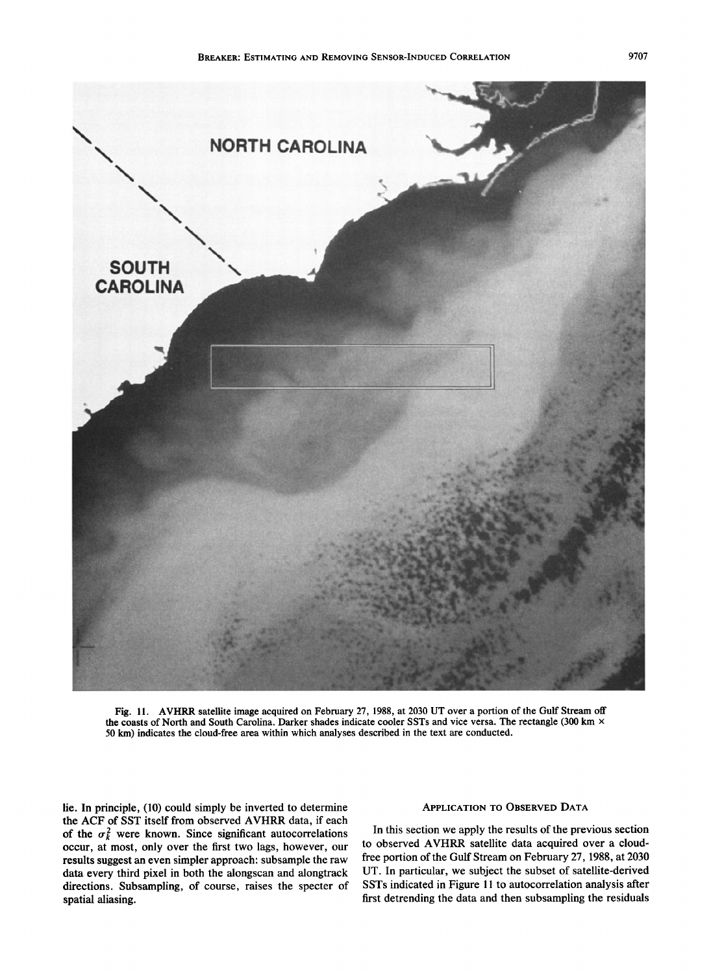

Fig. 11. AVHRR satellite image acquired on February 27, 1988, at 2030 UT over a portion of the Gulf Stream off **the coasts of North and South Carolina. Darker shades indicate cooler SSTs and vice versa. The rectangle (300 km x 50 km) indicates the cloud-free area within which analyses described in the text are conducted.** 

**lie. In principle, (10) could simply be inverted to determine the ACF of SST itself from observed AVHRR data, if each**  of the  $\sigma_k^2$  were known. Since significant autocorrelations **occur, at most, only over the first two lags, however, our results suggest an even simpler approach: subsample the raw data every third pixel in both the alongscan and alongtrack directions. Subsampling, of course, raises the specter of spatial aliasing.** 

# **APPLICATION TO OBSERVED DATA**

**In this section we apply the results of the previous section to observed AVHRR satellite data acquired over a cloudfree portion of the Gulf Stream on February 27, 1988, at 2030 UT. In particular, we subject the subset of satellite-derived SSTs indicated in Figure 11 to autocorrelation analysis after first detrending the data and then subsampling the residuals**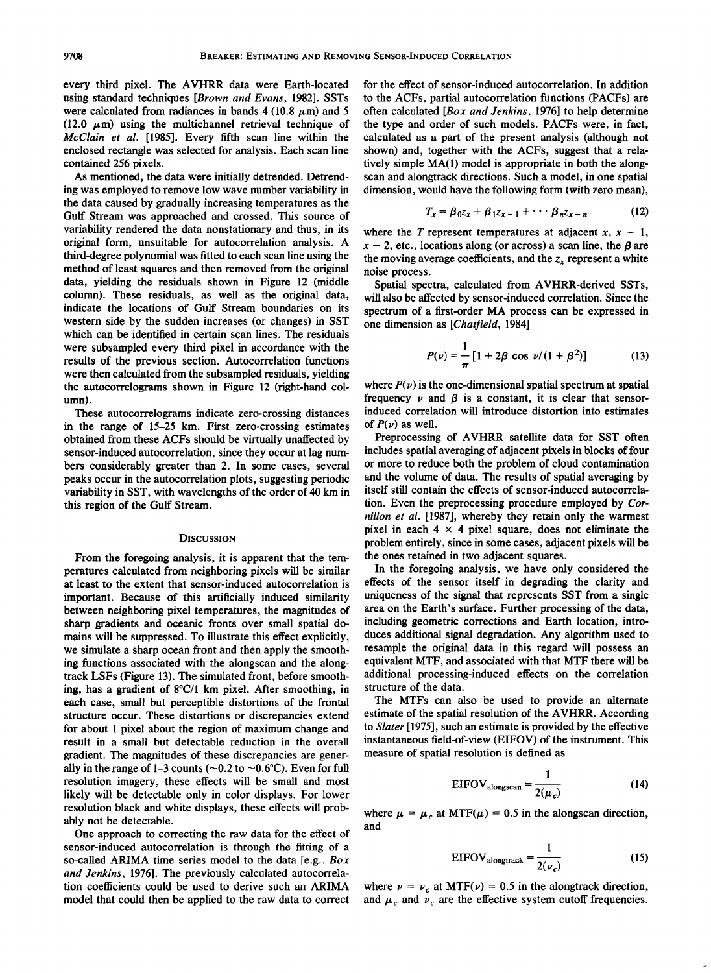**every third pixel. The AVHRR data were Earth-located using standard techniques [Brown and Evans, 1982]. SSTs**  were calculated from radiances in bands  $4 (10.8 \mu m)$  and 5  $(12.0 \mu m)$  using the multichannel retrieval technique of **McClain et al. [1985]. Every fifth scan line within the enclosed rectangle was selected for analysis. Each scan line contained 256 pixels.** 

**As mentioned, the data were initially detrended. Detrending was employed to remove low wave number variability in the data caused by gradually increasing temperatures as the Gulf Stream was approached and crossed. This source of variability rendered the data nonstationary and thus, in its original form, unsuitable for autocorrelation analysis. A third-degree polynomial was fitted to each scan line using the method of least squares and then removed from the original data, yielding the residuals shown in Figure 12 (middle column). These residuals, as well as the original data, indicate the locations of Gulf Stream boundaries on its western side by the sudden increases (or changes) in SST which can be identified in certain scan lines. The residuals were subsampled every third pixel in accordance with the results of the previous section. Autocorrelation functions were then calculated from the subsampled residuals, yielding the autocorrelograms shown in Figure 12 (fight-hand column).** 

**These autocorrelograms indicate zero-crossing distances in the range of 15-25 km. First zero-crossing estimates obtained from these ACFs should be virtually unaffected by sensor-induced autocorrelation, since they occur at lag numbers considerably greater than 2. In some cases, several peaks occur in the autocorrelation plots, suggesting periodic variability in SST, with wavelengths of the order of 40 km in this region of the Gulf Stream.** 

## **DISCUSSION**

**From the foregoing analysis, it is apparent that the temperatures calculated from neighboring pixels will be similar at least to the extent that sensor-induced autocorrelation is important. Because of this artificially induced similarity between neighboring pixel temperatures, the magnitudes of sharp gradients and oceanic fronts over small spatial domains will be suppressed. To illustrate this effect explicitly, we simulate a sharp ocean front and then apply the smoothing functions associated with the alongscan and the alongtrack LSFs (Figure 13). The simulated front, before smoothing, has a gradient of 8øC/1 km pixel. After smoothing, in each case, small but perceptible distortions of the frontal structure occur. These distortions or discrepancies extend for about 1 pixel about the region of maximum change and result in a small but detectable reduction in the overall gradient. The magnitudes of these discrepancies are gener**ally in the range of 1–3 counts ( $\sim$ 0.2 to  $\sim$ 0.6°C). Even for full **resolution imagery, these effects will be small and most likely will be detectable only in color displays. For lower resolution black and white displays, these effects will probably not be detectable.** 

**One approach to correcting the raw data for the effect of sensor-induced autocorrelation is through the fitting of a so-called ARIMA time series model to the data [e.g., Box and Jenkins, 1976]. The previously calculated autocorrelation coefficients could be used to derive such an ARIMA model that could then be applied to the raw data to correct**  **for the effect of sensor-induced autocorrelation. In addition to the ACFs, partial autocorrelation functions (PACFs) are often calculated [Box and Jenkins, 1976] to help determine the type and order of such models. PACFs were, in fact, calculated as a part of the present analysis (although not shown) and, together with the ACFs, suggest that a relatively simple MA(1) model is appropriate in both the alongscan and alongtrack directions. Such a model, in one spatial dimension, would have the following form (with zero mean),** 

$$
T_x = \beta_0 Z_x + \beta_1 Z_{x-1} + \cdots + \beta_n Z_{x-n} \qquad (12)
$$

where the T represent temperatures at adjacent  $x, x - 1$ ,  $x - 2$ , etc., locations along (or across) a scan line, the  $\beta$  are the moving average coefficients, and the  $z<sub>x</sub>$  represent a white **noise process.** 

**Spatial spectra, calculated from AVHRR-derived SSTs, will also be affected by sensor-induced correlation. Since the spectrum of a first-order MA process can be expressed in one dimension as [Chatfield, 1984]** 

$$
P(\nu) = \frac{1}{\pi} \left[ 1 + 2\beta \cos \nu / (1 + \beta^2) \right]
$$
 (13)

where  $P(v)$  is the one-dimensional spatial spectrum at spatial frequency  $\nu$  and  $\beta$  is a constant, it is clear that sensor**induced correlation will introduce distortion into estimates**  of  $P(\nu)$  as well.

**Preprocessing of AVHRR satellite data for SST often includes spatial averaging of adjacent pixels in blocks of four or more to reduce both the problem of cloud contamination and the volume of data. The results of spatial averaging by itself still contain the effects of sensor-induced autocorrelation. Even the preprocessing procedure employed by Cornilion et al. [1987], whereby they retain only the warmest**  pixel in each  $4 \times 4$  pixel square, does not eliminate the **problem entirely, since in some cases, adjacent pixels will be the ones retained in two adjacent squares.** 

**In the foregoing analysis, we have only considered the effects of the sensor itself in degrading the clarity and uniqueness of the signal that represents \$ST from a single area on the Earth's surface. Further processing of the data, including geometric corrections and Earth location, introduces additional signal degradation. Any algorithm used to resample the original data in this regard will possess an equivalent MTF, and associated with that MTF there will be additional processing-induced effects on the correlation structure of the data.** 

**The MTFs can also be used to provide an alternate estimate of the spatial resolution of the AVHRR. According to Slater [ 1975], such an estimate is provided by the effective instantaneous field-of-view (EIFOV) of the instrument. This measure of spatial resolution is defined as** 

$$
EIFOV_{alongscan} = \frac{1}{2(\mu_c)}
$$
 (14)

where  $\mu = \mu_c$  at MTF( $\mu$ ) = 0.5 in the alongscan direction, **and** 

$$
EIFOV_{alongtrack} = \frac{1}{2(\nu_c)}
$$
 (15)

where  $\nu = \nu_c$  at MTF( $\nu$ ) = 0.5 in the alongtrack direction, and  $\mu_c$  and  $\nu_c$  are the effective system cutoff frequencies.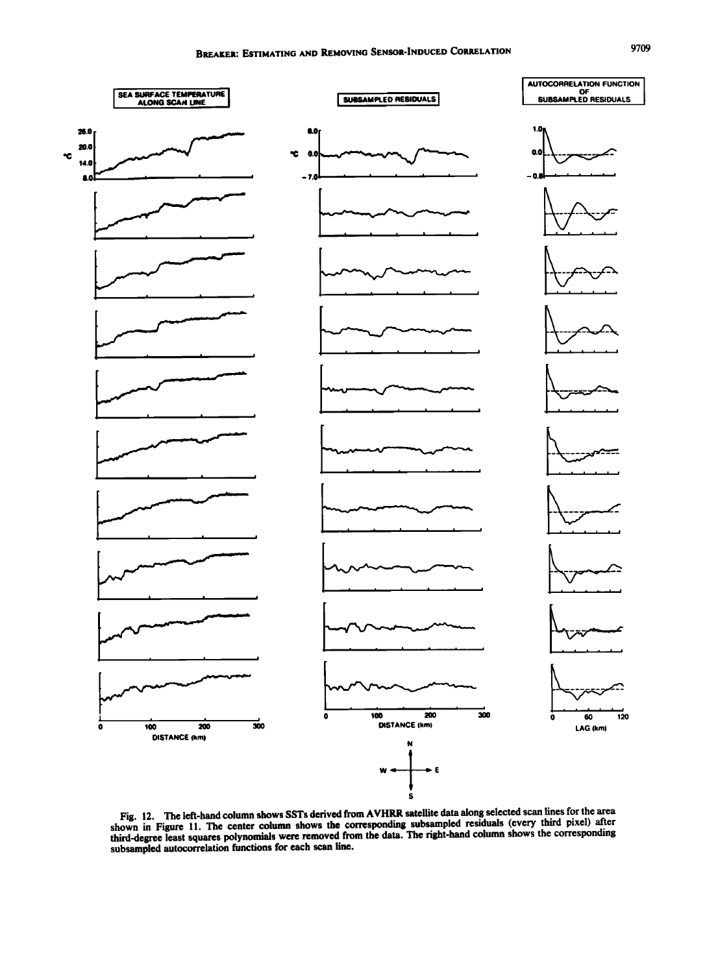

**Fig. 12. The left-hand column shows SSTs derived from AVHRR satellite data along selected scan lines for the area**  shown in Figure 11. The center column shows the corresponding subsampled residuals (every third pixel) after shows the corresponding **third-degree least squares polynomials were removed from the data. The right-hand column shows the corresponding subsampled autocorrelation functions for each scan line.**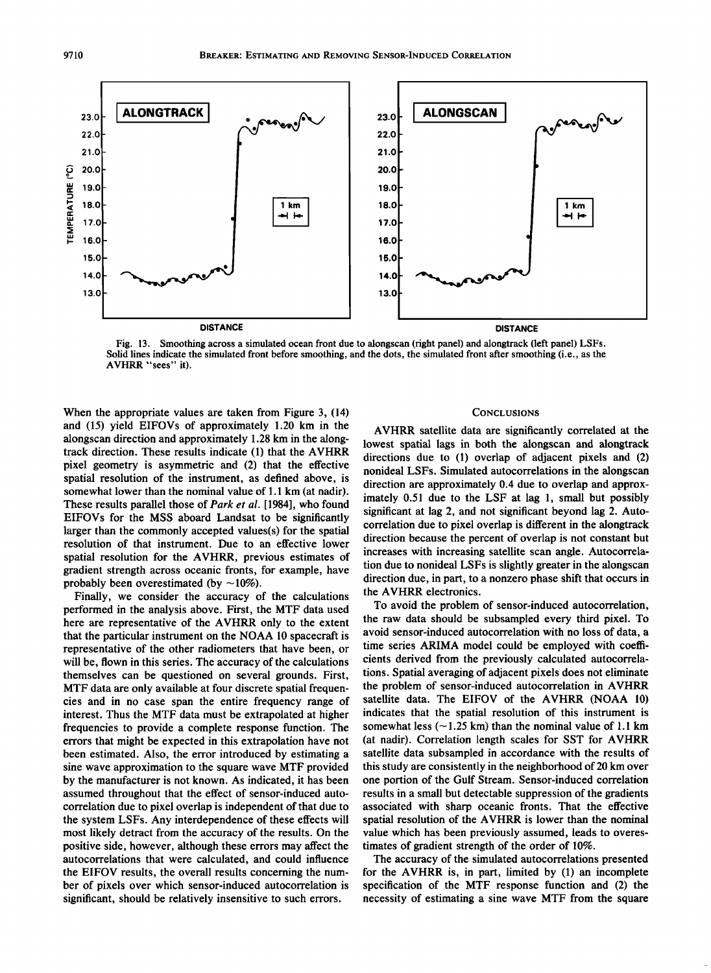

**Fig. 13. Smoothing across a simulated ocean front due to alongscan (right panel) and alongtrack (left panel) LSFs. Solid lines indicate the simulated front before smoothing, and the dots, the simulated front after smoothing (i.e., as the AVHRR "sees" it).** 

**When the appropriate values are taken from Figure 3, (14) and (15) yield EIFOVs of approximately 1.20 km in the alongscan direction and approximately 1.28 km in the alongtrack direction. These results indicate (1) that the AVHRR pixel geometry is asymmetric and (2) that the effective spatial resolution of the instrument, as defined above, is somewhat lower than the nominal value of 1.1 km (at nadir). These results parallel those of Park et al. [1984], who found EIFOVs for the MSS aboard Landsat to be significantly larger than the commonly accepted values(s) for the spatial resolution of that instrument. Due to an effective lower spatial resolution for the AVHRR, previous estimates of gradient strength across oceanic fronts, for example, have**  probably been overestimated (by  $\sim$ 10%).

**Finally, we consider the accuracy of the calculations performed in the analysis above. First, the MTF data used here are representative of the AVHRR only to the extent that the particular instrument on the NOAA 10 spacecraft is representative of the other radiometers that have been, or will be, flown in this series. The accuracy of the calculations themselves can be questioned on several grounds. First, MTF data are only available at four discrete spatial frequencies and in no case span the entire frequency range of interest. Thus the MTF data must be extrapolated at higher frequencies to provide a complete response function. The errors that might be expected in this extrapolation have not been estimated. Also, the error introduced by estimating a sine wave approximation to the square wave MTF provided by the manufacturer is not known. As indicated, it has been assumed throughout that the effect of sensor-induced autocorrelation due to pixel overlap is independent of that due to the system LSFs. Any interdependence of these effects will most likely detract from the accuracy of the results. On the positive side, however, although these errors may affect the autocorrelations that were calculated, and could influence the EIFOV results, the overall results concerning the number of pixels over which sensor-induced autocorrelation is significant, should be relatively insensitive to such errors.** 

#### **CONCLUSIONS**

**AVHRR satellite data are significantly correlated at the lowest spatial lags in both the alongscan and alongtrack directions due to (1) overlap of adjacent pixels and (2) nonideal LSFs. Simulated autocorrelations in the alongscan direction are approximately 0.4 due to overlap and approximately 0.51 due to the LSF at lag 1, small but possibly significant at lag 2, and not significant beyond lag 2. Autocorrelation due to pixel overlap is different in the alongtrack direction because the percent of overlap is not constant but increases with increasing satellite scan angle. Autocorrelation due to nonideal LSFs is slightly greater in the alongscan direction due, in part, to a nonzero phase shift that occurs in the AVHRR electronics.** 

**To avoid the problem of sensor-induced autocorrelation, the raw data should be subsampled every third pixel. To avoid sensor-induced autocorrelation with no loss of data, a time series ARIMA model could be employed with coefficients derived from the previously calculated autocorrelations. Spatial averaging of adjacent pixels does not eliminate the problem of sensor-induced autocorrelation in A VHRR satellite data. The EIFOV of the AVHRR (NOAA 10) indicates that the spatial resolution of this instrument is**  somewhat less  $(-1.25 \text{ km})$  than the nominal value of 1.1 km **(at nadir). Correlation length scales for SST for AVHRR satellite data subsampled in accordance with the results of this study are consistently in the neighborhood of 20 km over one portion of the Gulf Stream. Sensor-induced correlation results in a small but detectable suppression of the gradients associated with sharp oceanic fronts. That the effective spatial resolution of the AVHRR is lower than the nominal value which has been previously assumed, leads to overestimates of gradient strength of the order of 10%.** 

**The accuracy of the simulated autocorrelations presented for the AVHRR is, in part, limited by (1) an incomplete specification of the MTF response function and (2) the necessity of estimating a sine wave MTF from the square**